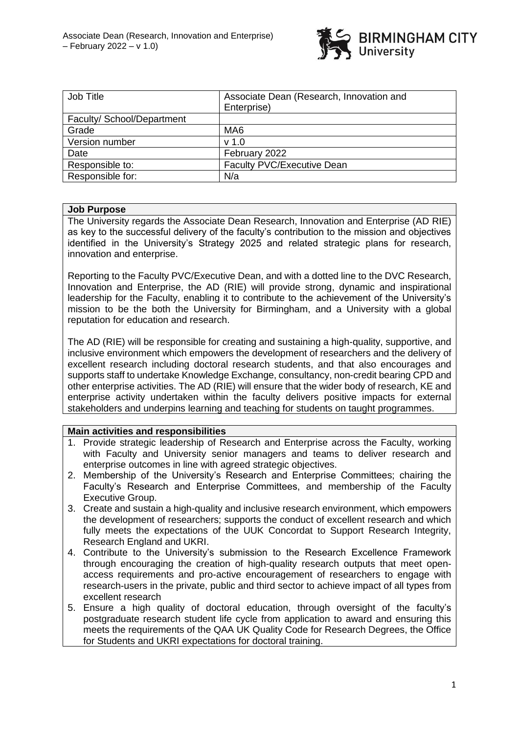

| Job Title                  | Associate Dean (Research, Innovation and<br>Enterprise) |
|----------------------------|---------------------------------------------------------|
| Faculty/ School/Department |                                                         |
| Grade                      | MA <sub>6</sub>                                         |
| Version number             | v <sub>1.0</sub>                                        |
| Date                       | February 2022                                           |
| Responsible to:            | <b>Faculty PVC/Executive Dean</b>                       |
| Responsible for:           | N/a                                                     |

### **Job Purpose**

The University regards the Associate Dean Research, Innovation and Enterprise (AD RIE) as key to the successful delivery of the faculty's contribution to the mission and objectives identified in the University's Strategy 2025 and related strategic plans for research, innovation and enterprise.

Reporting to the Faculty PVC/Executive Dean, and with a dotted line to the DVC Research, Innovation and Enterprise, the AD (RIE) will provide strong, dynamic and inspirational leadership for the Faculty, enabling it to contribute to the achievement of the University's mission to be the both the University for Birmingham, and a University with a global reputation for education and research.

The AD (RIE) will be responsible for creating and sustaining a high-quality, supportive, and inclusive environment which empowers the development of researchers and the delivery of excellent research including doctoral research students, and that also encourages and supports staff to undertake Knowledge Exchange, consultancy, non-credit bearing CPD and other enterprise activities. The AD (RIE) will ensure that the wider body of research, KE and enterprise activity undertaken within the faculty delivers positive impacts for external stakeholders and underpins learning and teaching for students on taught programmes.

#### **Main activities and responsibilities**

- 1. Provide strategic leadership of Research and Enterprise across the Faculty, working with Faculty and University senior managers and teams to deliver research and enterprise outcomes in line with agreed strategic objectives.
- 2. Membership of the University's Research and Enterprise Committees; chairing the Faculty's Research and Enterprise Committees, and membership of the Faculty Executive Group.
- 3. Create and sustain a high-quality and inclusive research environment, which empowers the development of researchers; supports the conduct of excellent research and which fully meets the expectations of the UUK Concordat to Support Research Integrity, Research England and UKRI.
- 4. Contribute to the University's submission to the Research Excellence Framework through encouraging the creation of high-quality research outputs that meet openaccess requirements and pro-active encouragement of researchers to engage with research-users in the private, public and third sector to achieve impact of all types from excellent research
- 5. Ensure a high quality of doctoral education, through oversight of the faculty's postgraduate research student life cycle from application to award and ensuring this meets the requirements of the QAA UK Quality Code for Research Degrees, the Office for Students and UKRI expectations for doctoral training.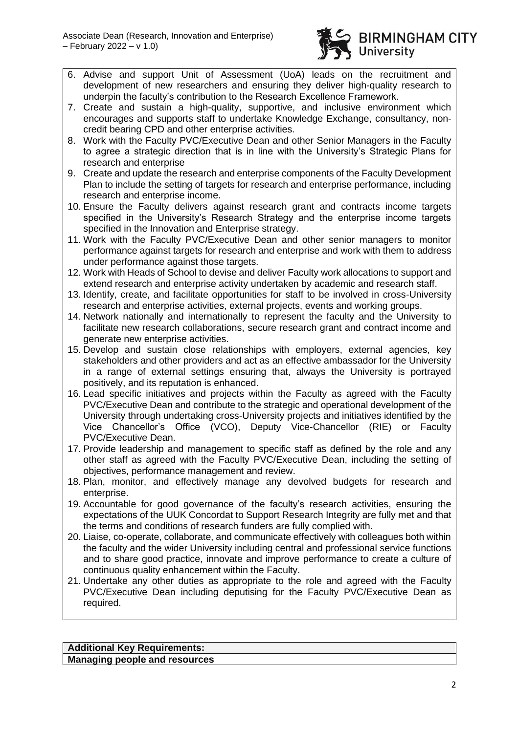

- 6. Advise and support Unit of Assessment (UoA) leads on the recruitment and development of new researchers and ensuring they deliver high-quality research to underpin the faculty's contribution to the Research Excellence Framework.
- 7. Create and sustain a high-quality, supportive, and inclusive environment which encourages and supports staff to undertake Knowledge Exchange, consultancy, noncredit bearing CPD and other enterprise activities.
- 8. Work with the Faculty PVC/Executive Dean and other Senior Managers in the Faculty to agree a strategic direction that is in line with the University's Strategic Plans for research and enterprise
- 9. Create and update the research and enterprise components of the Faculty Development Plan to include the setting of targets for research and enterprise performance, including research and enterprise income.
- 10. Ensure the Faculty delivers against research grant and contracts income targets specified in the University's Research Strategy and the enterprise income targets specified in the Innovation and Enterprise strategy.
- 11. Work with the Faculty PVC/Executive Dean and other senior managers to monitor performance against targets for research and enterprise and work with them to address under performance against those targets.
- 12. Work with Heads of School to devise and deliver Faculty work allocations to support and extend research and enterprise activity undertaken by academic and research staff.
- 13. Identify, create, and facilitate opportunities for staff to be involved in cross-University research and enterprise activities, external projects, events and working groups.
- 14. Network nationally and internationally to represent the faculty and the University to facilitate new research collaborations, secure research grant and contract income and generate new enterprise activities.
- 15. Develop and sustain close relationships with employers, external agencies, key stakeholders and other providers and act as an effective ambassador for the University in a range of external settings ensuring that, always the University is portrayed positively, and its reputation is enhanced.
- 16. Lead specific initiatives and projects within the Faculty as agreed with the Faculty PVC/Executive Dean and contribute to the strategic and operational development of the University through undertaking cross-University projects and initiatives identified by the Vice Chancellor's Office (VCO), Deputy Vice-Chancellor (RIE) or Faculty PVC/Executive Dean.
- 17. Provide leadership and management to specific staff as defined by the role and any other staff as agreed with the Faculty PVC/Executive Dean, including the setting of objectives, performance management and review.
- 18. Plan, monitor, and effectively manage any devolved budgets for research and enterprise.
- 19. Accountable for good governance of the faculty's research activities, ensuring the expectations of the UUK Concordat to Support Research Integrity are fully met and that the terms and conditions of research funders are fully complied with.
- 20. Liaise, co-operate, collaborate, and communicate effectively with colleagues both within the faculty and the wider University including central and professional service functions and to share good practice, innovate and improve performance to create a culture of continuous quality enhancement within the Faculty.
- 21. Undertake any other duties as appropriate to the role and agreed with the Faculty PVC/Executive Dean including deputising for the Faculty PVC/Executive Dean as required.

**Additional Key Requirements: Managing people and resources**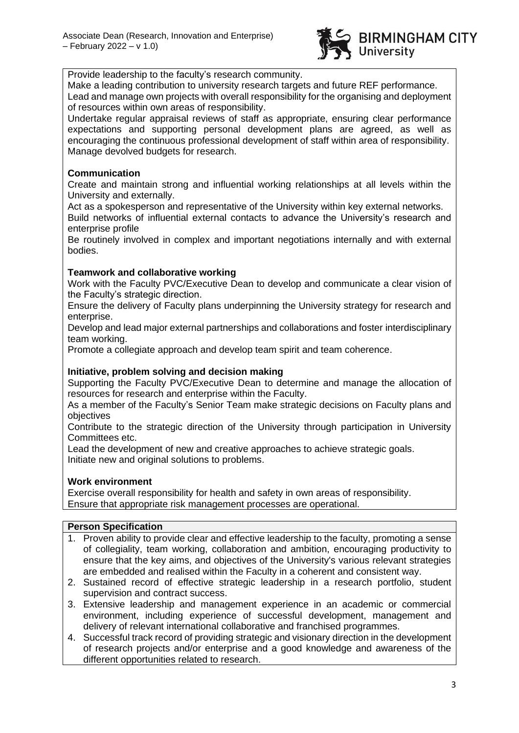

Provide leadership to the faculty's research community.

Make a leading contribution to university research targets and future REF performance. Lead and manage own projects with overall responsibility for the organising and deployment of resources within own areas of responsibility.

Undertake regular appraisal reviews of staff as appropriate, ensuring clear performance expectations and supporting personal development plans are agreed, as well as encouraging the continuous professional development of staff within area of responsibility. Manage devolved budgets for research.

## **Communication**

Create and maintain strong and influential working relationships at all levels within the University and externally.

Act as a spokesperson and representative of the University within key external networks. Build networks of influential external contacts to advance the University's research and enterprise profile

Be routinely involved in complex and important negotiations internally and with external bodies.

## **Teamwork and collaborative working**

Work with the Faculty PVC/Executive Dean to develop and communicate a clear vision of the Faculty's strategic direction.

Ensure the delivery of Faculty plans underpinning the University strategy for research and enterprise.

Develop and lead major external partnerships and collaborations and foster interdisciplinary team working.

Promote a collegiate approach and develop team spirit and team coherence.

## **Initiative, problem solving and decision making**

Supporting the Faculty PVC/Executive Dean to determine and manage the allocation of resources for research and enterprise within the Faculty.

As a member of the Faculty's Senior Team make strategic decisions on Faculty plans and objectives

Contribute to the strategic direction of the University through participation in University Committees etc.

Lead the development of new and creative approaches to achieve strategic goals. Initiate new and original solutions to problems.

## **Work environment**

Exercise overall responsibility for health and safety in own areas of responsibility. Ensure that appropriate risk management processes are operational.

#### **Person Specification**

- 1. Proven ability to provide clear and effective leadership to the faculty, promoting a sense of collegiality, team working, collaboration and ambition, encouraging productivity to ensure that the key aims, and objectives of the University's various relevant strategies are embedded and realised within the Faculty in a coherent and consistent way.
- 2. Sustained record of effective strategic leadership in a research portfolio, student supervision and contract success.
- 3. Extensive leadership and management experience in an academic or commercial environment, including experience of successful development, management and delivery of relevant international collaborative and franchised programmes.
- 4. Successful track record of providing strategic and visionary direction in the development of research projects and/or enterprise and a good knowledge and awareness of the different opportunities related to research.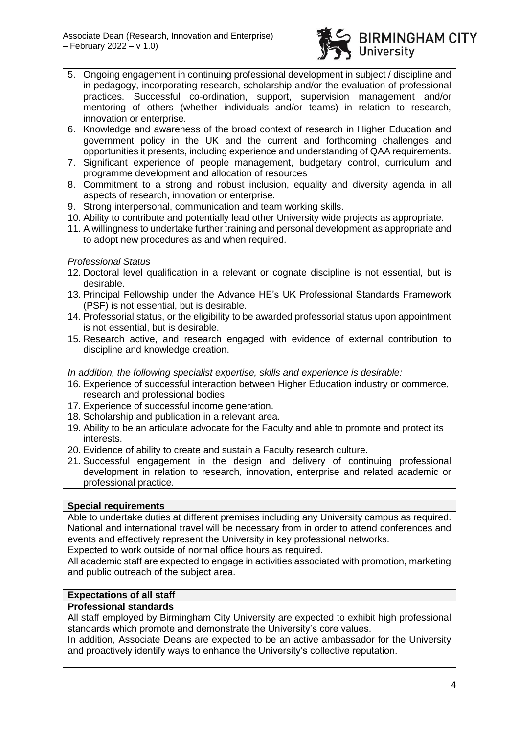

- 5. Ongoing engagement in continuing professional development in subject / discipline and in pedagogy, incorporating research, scholarship and/or the evaluation of professional practices. Successful co-ordination, support, supervision management and/or mentoring of others (whether individuals and/or teams) in relation to research, innovation or enterprise.
- 6. Knowledge and awareness of the broad context of research in Higher Education and government policy in the UK and the current and forthcoming challenges and opportunities it presents, including experience and understanding of QAA requirements.
- 7. Significant experience of people management, budgetary control, curriculum and programme development and allocation of resources
- 8. Commitment to a strong and robust inclusion, equality and diversity agenda in all aspects of research, innovation or enterprise.
- 9. Strong interpersonal, communication and team working skills.
- 10. Ability to contribute and potentially lead other University wide projects as appropriate.
- 11. A willingness to undertake further training and personal development as appropriate and to adopt new procedures as and when required.

## *Professional Status*

- 12. Doctoral level qualification in a relevant or cognate discipline is not essential, but is desirable.
- 13. Principal Fellowship under the Advance HE's UK Professional Standards Framework (PSF) is not essential, but is desirable.
- 14. Professorial status, or the eligibility to be awarded professorial status upon appointment is not essential, but is desirable.
- 15. Research active, and research engaged with evidence of external contribution to discipline and knowledge creation.

## *In addition, the following specialist expertise, skills and experience is desirable:*

- 16. Experience of successful interaction between Higher Education industry or commerce, research and professional bodies.
- 17. Experience of successful income generation.
- 18. Scholarship and publication in a relevant area.
- 19. Ability to be an articulate advocate for the Faculty and able to promote and protect its interests.
- 20. Evidence of ability to create and sustain a Faculty research culture.
- 21. Successful engagement in the design and delivery of continuing professional development in relation to research, innovation, enterprise and related academic or professional practice.

#### **Special requirements**

Able to undertake duties at different premises including any University campus as required. National and international travel will be necessary from in order to attend conferences and events and effectively represent the University in key professional networks.

Expected to work outside of normal office hours as required.

All academic staff are expected to engage in activities associated with promotion, marketing and public outreach of the subject area.

## **Expectations of all staff**

## **Professional standards**

All staff employed by Birmingham City University are expected to exhibit high professional standards which promote and demonstrate the University's core values.

In addition, Associate Deans are expected to be an active ambassador for the University and proactively identify ways to enhance the University's collective reputation.